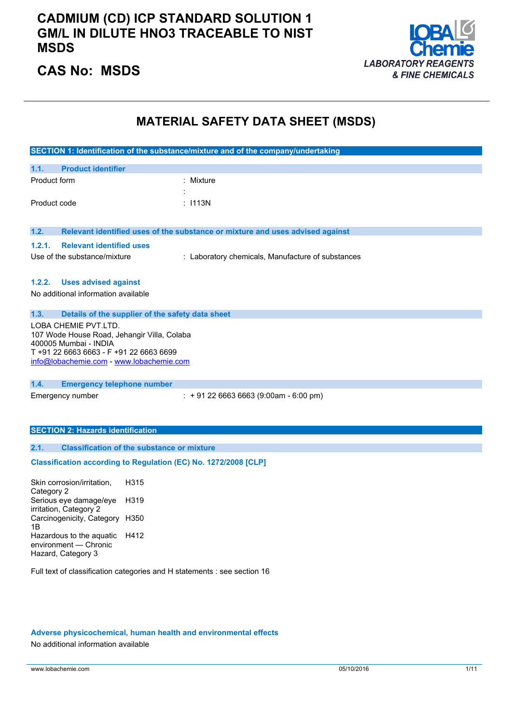### **CADMIUM (CD) ICP STANDARD SOLUTION 1 GM/L IN DILUTE HNO3 TRACEABLE TO NIST MSDS**



### **CAS No: MSDS**

### **MATERIAL SAFETY DATA SHEET (MSDS)**

|                                                                      |      | SECTION 1: Identification of the substance/mixture and of the company/undertaking |
|----------------------------------------------------------------------|------|-----------------------------------------------------------------------------------|
| 1.1.<br><b>Product identifier</b>                                    |      |                                                                                   |
| Product form                                                         |      | Mixture                                                                           |
|                                                                      |      |                                                                                   |
| Product code                                                         |      | : I113N                                                                           |
|                                                                      |      |                                                                                   |
| 1.2.                                                                 |      | Relevant identified uses of the substance or mixture and uses advised against     |
| 1.2.1.<br><b>Relevant identified uses</b>                            |      |                                                                                   |
| Use of the substance/mixture                                         |      | : Laboratory chemicals, Manufacture of substances                                 |
|                                                                      |      |                                                                                   |
| 1.2.2.<br><b>Uses advised against</b>                                |      |                                                                                   |
| No additional information available                                  |      |                                                                                   |
| 1.3.<br>Details of the supplier of the safety data sheet             |      |                                                                                   |
| LOBA CHEMIE PVT.LTD.                                                 |      |                                                                                   |
| 107 Wode House Road, Jehangir Villa, Colaba<br>400005 Mumbai - INDIA |      |                                                                                   |
| T +91 22 6663 6663 - F +91 22 6663 6699                              |      |                                                                                   |
| info@lobachemie.com - www.lobachemie.com                             |      |                                                                                   |
|                                                                      |      |                                                                                   |
| 1.4.<br><b>Emergency telephone number</b><br>Emergency number        |      | $: +912266636663(9:00am - 6:00 pm)$                                               |
|                                                                      |      |                                                                                   |
|                                                                      |      |                                                                                   |
| <b>SECTION 2: Hazards identification</b>                             |      |                                                                                   |
| 2.1.                                                                 |      |                                                                                   |
| <b>Classification of the substance or mixture</b>                    |      |                                                                                   |
| Classification according to Regulation (EC) No. 1272/2008 [CLP]      |      |                                                                                   |
| Skin corrosion/irritation,                                           | H315 |                                                                                   |
| Category 2<br>Serious eye damage/eye                                 | H319 |                                                                                   |
| irritation, Category 2                                               |      |                                                                                   |
| Carcinogenicity, Category H350<br>1B                                 |      |                                                                                   |
| Hazardous to the aquatic                                             | H412 |                                                                                   |
| environment - Chronic                                                |      |                                                                                   |

Full text of classification categories and H statements : see section 16

#### **Adverse physicochemical, human health and environmental effects**

No additional information available

Hazard, Category 3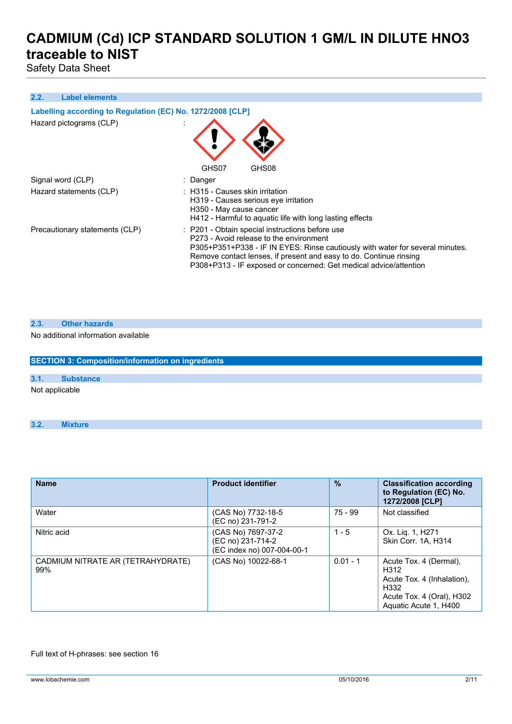Safety Data Sheet

#### **2.2. Label elements**

| Labelling according to Regulation (EC) No. 1272/2008 [CLP] |                                                                                                                                                                                                                                                                                                                        |  |  |
|------------------------------------------------------------|------------------------------------------------------------------------------------------------------------------------------------------------------------------------------------------------------------------------------------------------------------------------------------------------------------------------|--|--|
| Hazard pictograms (CLP)                                    | GHS07<br>GHS08                                                                                                                                                                                                                                                                                                         |  |  |
| Signal word (CLP)                                          | : Danger                                                                                                                                                                                                                                                                                                               |  |  |
| Hazard statements (CLP)                                    | $\therefore$ H315 - Causes skin irritation<br>H319 - Causes serious eye irritation<br>H350 - May cause cancer<br>H412 - Harmful to aguatic life with long lasting effects                                                                                                                                              |  |  |
| Precautionary statements (CLP)                             | : P201 - Obtain special instructions before use<br>P273 - Avoid release to the environment<br>P305+P351+P338 - IF IN EYES: Rinse cautiously with water for several minutes.<br>Remove contact lenses, if present and easy to do. Continue rinsing<br>P308+P313 - IF exposed or concerned: Get medical advice/attention |  |  |

#### **2.3. Other hazards**

#### No additional information available

| <b>SECTION 3: Composition/information on ingredients</b> |                  |  |  |
|----------------------------------------------------------|------------------|--|--|
|                                                          |                  |  |  |
| 3.1.                                                     | <b>Substance</b> |  |  |
| Not applicable                                           |                  |  |  |

#### **3.2. Mixture**

| <b>Name</b>                              | <b>Product identifier</b>                                             | $\frac{9}{6}$ | <b>Classification according</b><br>to Regulation (EC) No.<br>1272/2008 [CLP]                                               |
|------------------------------------------|-----------------------------------------------------------------------|---------------|----------------------------------------------------------------------------------------------------------------------------|
| Water                                    | (CAS No) 7732-18-5<br>(EC no) 231-791-2                               | $75 - 99$     | Not classified                                                                                                             |
| Nitric acid                              | (CAS No) 7697-37-2<br>(EC no) 231-714-2<br>(EC index no) 007-004-00-1 | $1 - 5$       | Ox. Liq. 1, H271<br>Skin Corr. 1A. H314                                                                                    |
| CADMIUM NITRATE AR (TETRAHYDRATE)<br>99% | (CAS No) 10022-68-1                                                   | $0.01 - 1$    | Acute Tox. 4 (Dermal),<br>H312<br>Acute Tox. 4 (Inhalation).<br>H332<br>Acute Tox. 4 (Oral), H302<br>Aquatic Acute 1, H400 |

#### Full text of H-phrases: see section 16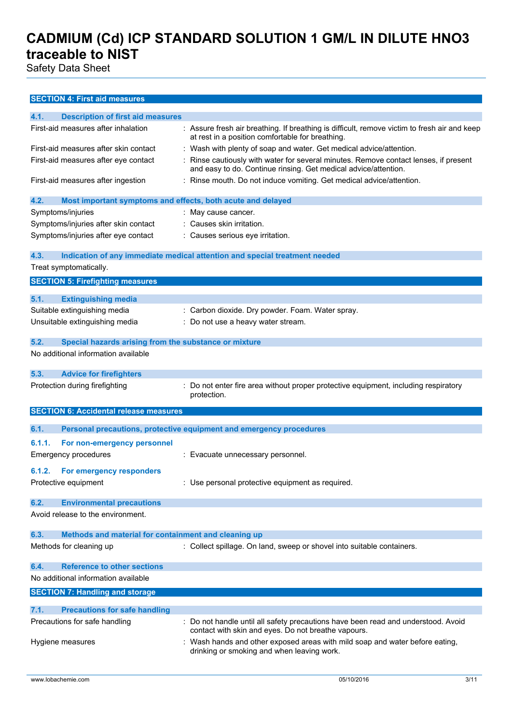Safety Data Sheet

### **SECTION 4: First aid measures**

| 4.1.   | <b>Description of first aid measures</b>                    |                                                                                                                                                       |
|--------|-------------------------------------------------------------|-------------------------------------------------------------------------------------------------------------------------------------------------------|
|        | First-aid measures after inhalation                         | : Assure fresh air breathing. If breathing is difficult, remove victim to fresh air and keep<br>at rest in a position comfortable for breathing.      |
|        | First-aid measures after skin contact                       | : Wash with plenty of soap and water. Get medical advice/attention.                                                                                   |
|        | First-aid measures after eye contact                        | Rinse cautiously with water for several minutes. Remove contact lenses, if present<br>and easy to do. Continue rinsing. Get medical advice/attention. |
|        | First-aid measures after ingestion                          | Rinse mouth. Do not induce vomiting. Get medical advice/attention.                                                                                    |
| 4.2.   | Most important symptoms and effects, both acute and delayed |                                                                                                                                                       |
|        | Symptoms/injuries                                           | : May cause cancer.                                                                                                                                   |
|        | Symptoms/injuries after skin contact                        | Causes skin irritation.                                                                                                                               |
|        | Symptoms/injuries after eye contact                         | : Causes serious eye irritation.                                                                                                                      |
| 4.3.   |                                                             | Indication of any immediate medical attention and special treatment needed                                                                            |
|        | Treat symptomatically.                                      |                                                                                                                                                       |
|        | <b>SECTION 5: Firefighting measures</b>                     |                                                                                                                                                       |
| 5.1.   | <b>Extinguishing media</b>                                  |                                                                                                                                                       |
|        | Suitable extinguishing media                                | : Carbon dioxide. Dry powder. Foam. Water spray.                                                                                                      |
|        | Unsuitable extinguishing media                              | Do not use a heavy water stream.                                                                                                                      |
|        |                                                             |                                                                                                                                                       |
| 5.2.   | Special hazards arising from the substance or mixture       |                                                                                                                                                       |
|        | No additional information available                         |                                                                                                                                                       |
| 5.3.   | <b>Advice for firefighters</b>                              |                                                                                                                                                       |
|        | Protection during firefighting                              | : Do not enter fire area without proper protective equipment, including respiratory<br>protection.                                                    |
|        | <b>SECTION 6: Accidental release measures</b>               |                                                                                                                                                       |
| 6.1.   |                                                             | Personal precautions, protective equipment and emergency procedures                                                                                   |
|        |                                                             |                                                                                                                                                       |
| 6.1.1. | For non-emergency personnel                                 |                                                                                                                                                       |
|        | <b>Emergency procedures</b>                                 | : Evacuate unnecessary personnel.                                                                                                                     |
| 6.1.2. | For emergency responders                                    |                                                                                                                                                       |
|        | Protective equipment                                        | : Use personal protective equipment as required.                                                                                                      |
| 6.2.   | <b>Environmental precautions</b>                            |                                                                                                                                                       |
|        | Avoid release to the environment.                           |                                                                                                                                                       |
| 6.3.   | Methods and material for containment and cleaning up        |                                                                                                                                                       |
|        | Methods for cleaning up                                     | : Collect spillage. On land, sweep or shovel into suitable containers.                                                                                |
| 6.4.   | <b>Reference to other sections</b>                          |                                                                                                                                                       |
|        | No additional information available                         |                                                                                                                                                       |
|        | <b>SECTION 7: Handling and storage</b>                      |                                                                                                                                                       |
| 7.1.   | <b>Precautions for safe handling</b>                        |                                                                                                                                                       |
|        | Precautions for safe handling                               | Do not handle until all safety precautions have been read and understood. Avoid                                                                       |
|        |                                                             | contact with skin and eyes. Do not breathe vapours.                                                                                                   |
|        | Hygiene measures                                            | Wash hands and other exposed areas with mild soap and water before eating,<br>drinking or smoking and when leaving work.                              |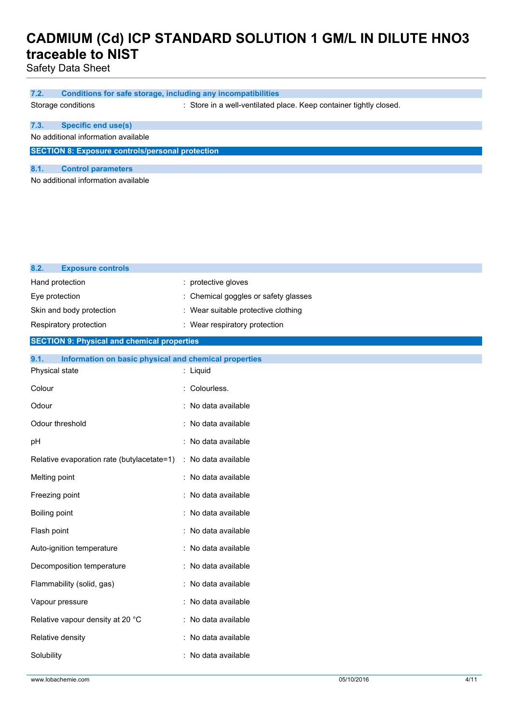Safety Data Sheet

| 7.2.                                                    | Conditions for safe storage, including any incompatibilities |                                                                    |  |
|---------------------------------------------------------|--------------------------------------------------------------|--------------------------------------------------------------------|--|
|                                                         | Storage conditions                                           | : Store in a well-ventilated place. Keep container tightly closed. |  |
|                                                         |                                                              |                                                                    |  |
| 7.3.                                                    | Specific end use(s)                                          |                                                                    |  |
|                                                         | No additional information available                          |                                                                    |  |
| <b>SECTION 8: Exposure controls/personal protection</b> |                                                              |                                                                    |  |
| 8.1.                                                    | <b>Control parameters</b>                                    |                                                                    |  |
| No additional information available                     |                                                              |                                                                    |  |
|                                                         |                                                              |                                                                    |  |

| 8.2.<br><b>Exposure controls</b>                              |                                    |
|---------------------------------------------------------------|------------------------------------|
| Hand protection                                               | : protective gloves                |
| Eye protection                                                | Chemical goggles or safety glasses |
| Skin and body protection                                      | Wear suitable protective clothing  |
| Respiratory protection                                        | : Wear respiratory protection      |
| <b>SECTION 9: Physical and chemical properties</b>            |                                    |
| Information on basic physical and chemical properties<br>9.1. |                                    |
| Physical state                                                | : Liquid                           |
| Colour                                                        | Colourless.                        |
| Odour                                                         | : No data available                |
| Odour threshold                                               | No data available                  |
| pH                                                            | : No data available                |
| Relative evaporation rate (butylacetate=1)                    | : No data available                |
| Melting point                                                 | : No data available                |
| Freezing point                                                | No data available                  |
| Boiling point                                                 | No data available                  |
| Flash point                                                   | : No data available                |
| Auto-ignition temperature                                     | No data available                  |
| Decomposition temperature                                     | : No data available                |
| Flammability (solid, gas)                                     | : No data available                |
| Vapour pressure                                               | No data available                  |
| Relative vapour density at 20 °C                              | : No data available                |
| Relative density                                              | : No data available                |
| Solubility                                                    | No data available                  |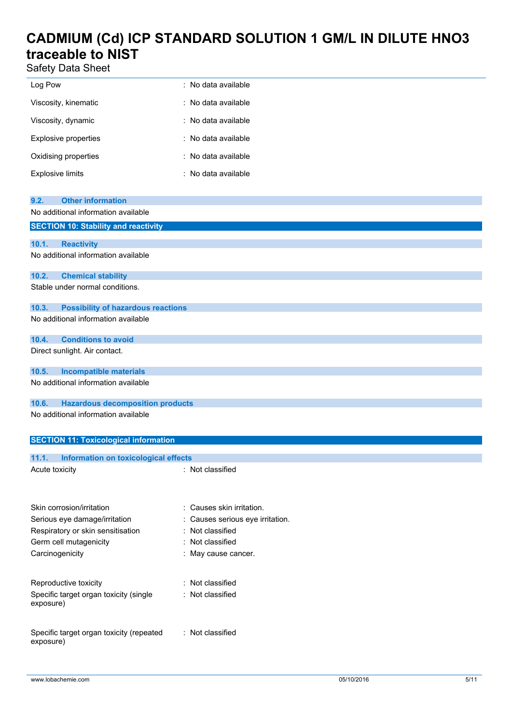Safety Data Sheet

| Log Pow                                                                       | : No data available              |
|-------------------------------------------------------------------------------|----------------------------------|
| Viscosity, kinematic                                                          | : No data available              |
| Viscosity, dynamic                                                            | : No data available              |
| <b>Explosive properties</b>                                                   | : No data available              |
| Oxidising properties                                                          | : No data available              |
| <b>Explosive limits</b>                                                       | : No data available              |
|                                                                               |                                  |
| <b>Other information</b><br>9.2.                                              |                                  |
| No additional information available                                           |                                  |
| <b>SECTION 10: Stability and reactivity</b>                                   |                                  |
| 10.1.<br><b>Reactivity</b>                                                    |                                  |
| No additional information available                                           |                                  |
| 10.2.<br><b>Chemical stability</b>                                            |                                  |
| Stable under normal conditions.                                               |                                  |
|                                                                               |                                  |
| 10.3.<br><b>Possibility of hazardous reactions</b>                            |                                  |
| No additional information available                                           |                                  |
| <b>Conditions to avoid</b><br>10.4.                                           |                                  |
| Direct sunlight. Air contact.                                                 |                                  |
|                                                                               |                                  |
| <b>Incompatible materials</b><br>10.5.<br>No additional information available |                                  |
|                                                                               |                                  |
| <b>Hazardous decomposition products</b><br>10.6.                              |                                  |
| No additional information available                                           |                                  |
|                                                                               |                                  |
| <b>SECTION 11: Toxicological information</b>                                  |                                  |
| 11.1.<br><b>Information on toxicological effects</b>                          |                                  |
| Acute toxicity                                                                | : Not classified                 |
|                                                                               |                                  |
|                                                                               |                                  |
| Skin corrosion/irritation                                                     | : Causes skin irritation.        |
| Serious eye damage/irritation                                                 | : Causes serious eye irritation. |
| Respiratory or skin sensitisation                                             | : Not classified                 |
| Germ cell mutagenicity                                                        | Not classified                   |
| Carcinogenicity                                                               | : May cause cancer.              |
|                                                                               |                                  |
| Reproductive toxicity                                                         | : Not classified                 |
| Specific target organ toxicity (single                                        | : Not classified                 |

Specific target organ toxicity (repeated exposure) : Not classified

exposure)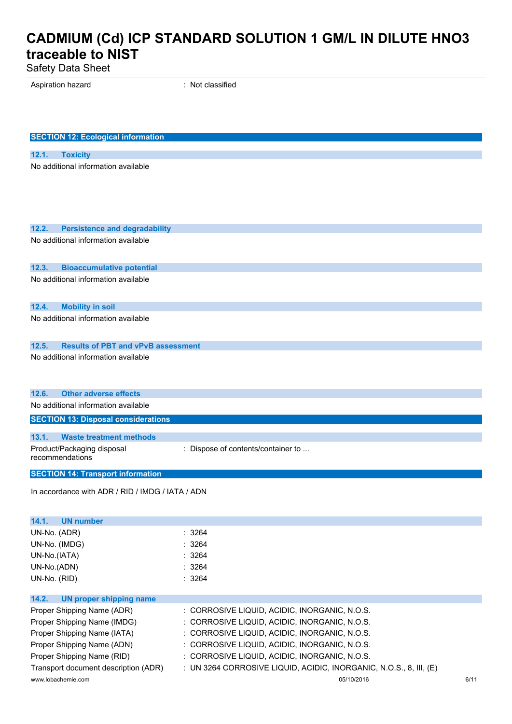Safety Data Sheet

Aspiration hazard **in the set of the set of the set of the set of the set of the set of the set of the set of the set of the set of the set of the set of the set of the set of the set of the set of the set of the set of th** 

| <b>SECTION 12: Ecological information</b>          |                                                                    |
|----------------------------------------------------|--------------------------------------------------------------------|
|                                                    |                                                                    |
| 12.1.<br><b>Toxicity</b>                           |                                                                    |
| No additional information available                |                                                                    |
|                                                    |                                                                    |
|                                                    |                                                                    |
|                                                    |                                                                    |
|                                                    |                                                                    |
| 12.2.<br><b>Persistence and degradability</b>      |                                                                    |
| No additional information available                |                                                                    |
|                                                    |                                                                    |
| 12.3.<br><b>Bioaccumulative potential</b>          |                                                                    |
| No additional information available                |                                                                    |
|                                                    |                                                                    |
|                                                    |                                                                    |
| <b>Mobility in soil</b><br>12.4.                   |                                                                    |
| No additional information available                |                                                                    |
|                                                    |                                                                    |
| <b>Results of PBT and vPvB assessment</b><br>12.5. |                                                                    |
| No additional information available                |                                                                    |
|                                                    |                                                                    |
|                                                    |                                                                    |
| 12.6.<br><b>Other adverse effects</b>              |                                                                    |
| No additional information available                |                                                                    |
| <b>SECTION 13: Disposal considerations</b>         |                                                                    |
| 13.1.<br><b>Waste treatment methods</b>            |                                                                    |
| Product/Packaging disposal                         | : Dispose of contents/container to                                 |
| recommendations                                    |                                                                    |
|                                                    |                                                                    |
| <b>SECTION 14: Transport information</b>           |                                                                    |
| In accordance with ADR / RID / IMDG / IATA / ADN   |                                                                    |
|                                                    |                                                                    |
| <b>UN number</b><br>14.1.                          |                                                                    |
| UN-No. (ADR)                                       | : 3264                                                             |
| UN-No. (IMDG)                                      | : 3264                                                             |
| UN-No.(IATA)                                       | : 3264                                                             |
| UN-No.(ADN)                                        | : 3264                                                             |
| UN-No. (RID)                                       | : 3264                                                             |
|                                                    |                                                                    |
| 14.2.<br><b>UN proper shipping name</b>            |                                                                    |
| Proper Shipping Name (ADR)                         | : CORROSIVE LIQUID, ACIDIC, INORGANIC, N.O.S.                      |
| Proper Shipping Name (IMDG)                        | : CORROSIVE LIQUID, ACIDIC, INORGANIC, N.O.S.                      |
| Proper Shipping Name (IATA)                        | : CORROSIVE LIQUID, ACIDIC, INORGANIC, N.O.S.                      |
| Proper Shipping Name (ADN)                         | : CORROSIVE LIQUID, ACIDIC, INORGANIC, N.O.S.                      |
| Proper Shipping Name (RID)                         | : CORROSIVE LIQUID, ACIDIC, INORGANIC, N.O.S.                      |
| Transport document description (ADR)               | : UN 3264 CORROSIVE LIQUID, ACIDIC, INORGANIC, N.O.S., 8, III, (E) |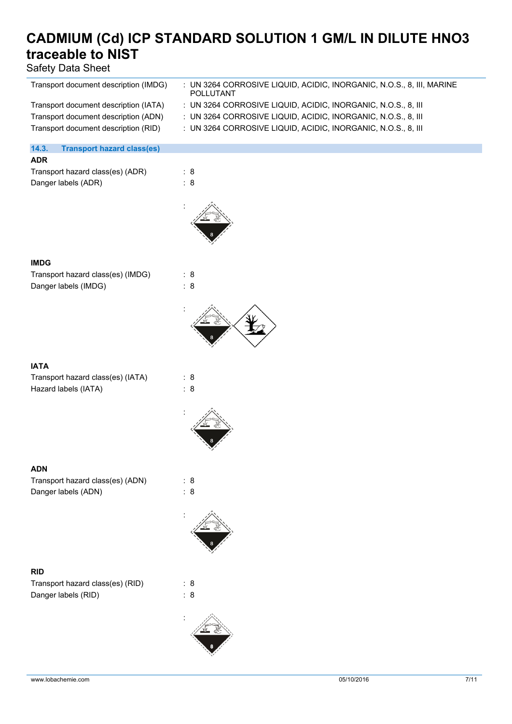Safety Data Sheet

| Transport document description (IMDG)      | : UN 3264 CORROSIVE LIQUID, ACIDIC, INORGANIC, N.O.S., 8, III, MARINE<br>POLLUTANT |
|--------------------------------------------|------------------------------------------------------------------------------------|
| Transport document description (IATA)      | : UN 3264 CORROSIVE LIQUID, ACIDIC, INORGANIC, N.O.S., 8, III                      |
| Transport document description (ADN)       | : UN 3264 CORROSIVE LIQUID, ACIDIC, INORGANIC, N.O.S., 8, III                      |
| Transport document description (RID)       | : UN 3264 CORROSIVE LIQUID, ACIDIC, INORGANIC, N.O.S., 8, III                      |
|                                            |                                                                                    |
| 14.3.<br><b>Transport hazard class(es)</b> |                                                                                    |
| <b>ADR</b>                                 |                                                                                    |
| Transport hazard class(es) (ADR)           | : 8                                                                                |
|                                            |                                                                                    |
| Danger labels (ADR)                        | : 8                                                                                |
|                                            |                                                                                    |
|                                            |                                                                                    |
|                                            |                                                                                    |
|                                            |                                                                                    |
|                                            |                                                                                    |
|                                            |                                                                                    |
| <b>IMDG</b>                                |                                                                                    |
| Transport hazard class(es) (IMDG)          | : 8                                                                                |
| Danger labels (IMDG)                       | : 8                                                                                |
|                                            |                                                                                    |
|                                            |                                                                                    |
|                                            |                                                                                    |
|                                            |                                                                                    |
|                                            |                                                                                    |
|                                            |                                                                                    |
|                                            |                                                                                    |
| <b>IATA</b>                                |                                                                                    |
| Transport hazard class(es) (IATA)          | : 8                                                                                |
| Hazard labels (IATA)                       | : 8                                                                                |
|                                            |                                                                                    |
|                                            |                                                                                    |
|                                            |                                                                                    |
|                                            |                                                                                    |
|                                            |                                                                                    |
|                                            |                                                                                    |
| <b>ADN</b>                                 |                                                                                    |
| Transport hazard class(es) (ADN)           | : 8                                                                                |
| Danger labels (ADN)                        | : 8                                                                                |
|                                            |                                                                                    |
|                                            |                                                                                    |
|                                            |                                                                                    |
|                                            |                                                                                    |
|                                            |                                                                                    |
|                                            |                                                                                    |
|                                            |                                                                                    |
| <b>RID</b>                                 |                                                                                    |
| Transport hazard class(es) (RID)           | : 8                                                                                |
| Danger labels (RID)                        | : 8                                                                                |
|                                            |                                                                                    |
|                                            |                                                                                    |
|                                            |                                                                                    |
|                                            |                                                                                    |
|                                            |                                                                                    |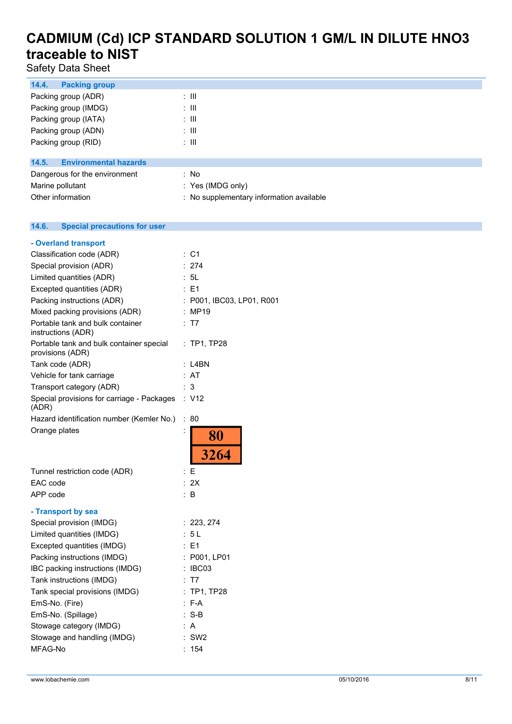Safety Data Sheet

| 14.4.<br><b>Packing group</b>         |                                          |
|---------------------------------------|------------------------------------------|
| Packing group (ADR)                   | : III                                    |
| Packing group (IMDG)                  | : III                                    |
| Packing group (IATA)                  | : III                                    |
| Packing group (ADN)                   | : III                                    |
| Packing group (RID)                   | : III                                    |
|                                       |                                          |
| <b>Environmental hazards</b><br>14.5. |                                          |
| Dangerous for the environment         | : No                                     |
| Marine pollutant                      | : Yes (IMDG only)                        |
| Other information                     | : No supplementary information available |

#### $14.6.$ **14.6. Special precautions for user**

| : C1                      |
|---------------------------|
| : 274                     |
| : 5L                      |
| E1                        |
| : P001, IBC03, LP01, R001 |
| : MP19                    |
| : T7                      |
| : TP1, TP28               |
| : L4BN                    |
| : AT                      |
| : 3                       |
| $\therefore$ V12          |
| ÷<br>80                   |
| ÷<br>80                   |
| 3264                      |
| : E                       |
| : 2X                      |
| ÷.<br>B                   |
|                           |
| : 223, 274                |
| : 5L                      |
| : F1                      |
| : P001, LP01              |
| IBC03                     |
| T7                        |
| <b>TP1, TP28</b>          |
| $: F-A$                   |
| :S-B                      |
| : A                       |
| SW <sub>2</sub>           |
| : $154$                   |
|                           |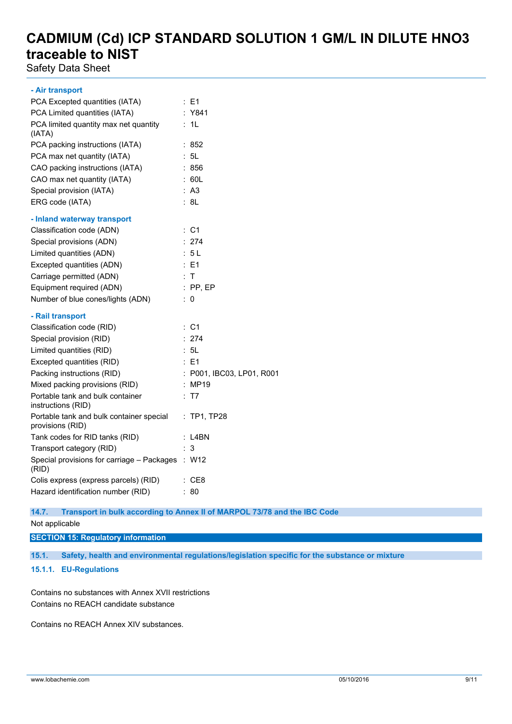Safety Data Sheet

#### **- Air transport**

| PCA Excepted quantities (IATA)                               | $\therefore$ E1           |
|--------------------------------------------------------------|---------------------------|
| PCA Limited quantities (IATA)                                | : Y841                    |
| PCA limited quantity max net quantity<br>(IATA)              | : 1L                      |
| PCA packing instructions (IATA)                              | :852                      |
| PCA max net quantity (IATA)                                  | : 5L                      |
| CAO packing instructions (IATA)                              | : 856                     |
| CAO max net quantity (IATA)                                  | : 60L                     |
| Special provision (IATA)                                     | : A3                      |
| ERG code (IATA)                                              | : 8L                      |
| - Inland waterway transport                                  |                           |
| Classification code (ADN)                                    | : C1                      |
| Special provisions (ADN)                                     | : 274                     |
| Limited quantities (ADN)                                     | : 5L                      |
| Excepted quantities (ADN)                                    | $E = 1$                   |
| Carriage permitted (ADN)                                     | : T                       |
| Equipment required (ADN)                                     | $:$ PP, EP                |
| Number of blue cones/lights (ADN)                            | 0<br>÷.                   |
| - Rail transport                                             |                           |
| Classification code (RID)                                    | : C1                      |
| Special provision (RID)                                      | : 274                     |
| Limited quantities (RID)                                     | : 5L                      |
| Excepted quantities (RID)                                    | : E1                      |
| Packing instructions (RID)                                   | : P001, IBC03, LP01, R001 |
| Mixed packing provisions (RID)                               | : MP19                    |
| Portable tank and bulk container<br>instructions (RID)       | T7<br>÷                   |
| Portable tank and bulk container special<br>provisions (RID) | $:$ TP1, TP28             |
| Tank codes for RID tanks (RID)                               | : L4BN                    |
| Transport category (RID)                                     | 3                         |
| Special provisions for carriage - Packages<br>(RID)          | : W12                     |
| Colis express (express parcels) (RID)                        | : CE8                     |
| Hazard identification number (RID)                           | 80                        |

### **14.7. Transport in bulk according to Annex II of MARPOL 73/78 and the IBC Code**

### Not applicable

### **SECTION 15: Regulatory information**

**15.1. Safety, health and environmental regulations/legislation specific for the substance or mixture**

### **15.1.1. EU-Regulations**

Contains no substances with Annex XVII restrictions Contains no REACH candidate substance

Contains no REACH Annex XIV substances.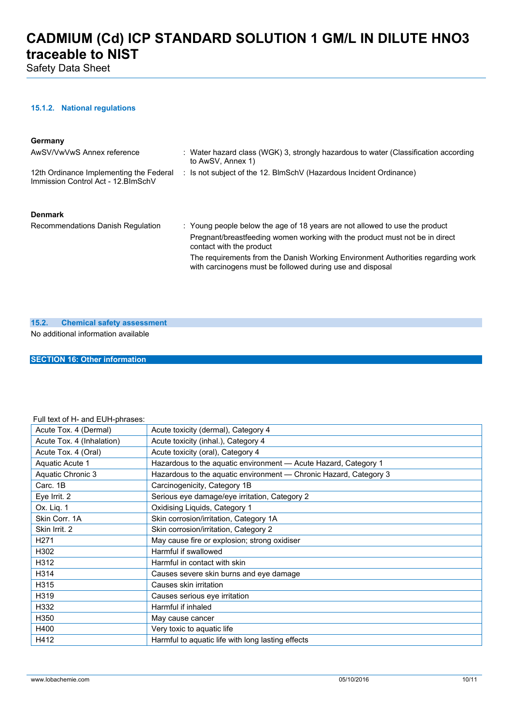Safety Data Sheet

### **15.1.2. National regulations**

#### **Germany**

| AwSV/VwVwS Annex reference                                                     | : Water hazard class (WGK) 3, strongly hazardous to water (Classification according<br>to AwSV. Annex 1)                                                                               |
|--------------------------------------------------------------------------------|----------------------------------------------------------------------------------------------------------------------------------------------------------------------------------------|
| 12th Ordinance Implementing the Federal<br>Immission Control Act - 12. BlmSchV | : Is not subject of the 12. BlmSchV (Hazardous Incident Ordinance)                                                                                                                     |
| <b>Denmark</b>                                                                 |                                                                                                                                                                                        |
| Recommendations Danish Regulation                                              | : Young people below the age of 18 years are not allowed to use the product<br>Pregnant/breastfeeding women working with the product must not be in direct<br>contact with the product |
|                                                                                | The requirements from the Danish Working Environment Authorities regarding work<br>with carcinogens must be followed during use and disposal                                           |

#### **15.2. Chemical safety assessment**

No additional information available

**SECTION 16: Other information**

### Full text of H- and EUH-phrases:

| Acute Tox. 4 (Dermal)     | Acute toxicity (dermal), Category 4                               |
|---------------------------|-------------------------------------------------------------------|
| Acute Tox. 4 (Inhalation) | Acute toxicity (inhal.), Category 4                               |
| Acute Tox. 4 (Oral)       | Acute toxicity (oral), Category 4                                 |
| Aquatic Acute 1           | Hazardous to the aquatic environment - Acute Hazard, Category 1   |
| Aquatic Chronic 3         | Hazardous to the aquatic environment - Chronic Hazard, Category 3 |
| Carc. 1B                  | Carcinogenicity, Category 1B                                      |
| Eye Irrit. 2              | Serious eye damage/eye irritation, Category 2                     |
| Ox. Liq. 1                | Oxidising Liquids, Category 1                                     |
| Skin Corr. 1A             | Skin corrosion/irritation, Category 1A                            |
| Skin Irrit, 2             | Skin corrosion/irritation, Category 2                             |
| H <sub>271</sub>          | May cause fire or explosion; strong oxidiser                      |
| H302                      | Harmful if swallowed                                              |
| H312                      | Harmful in contact with skin                                      |
| H314                      | Causes severe skin burns and eye damage                           |
| H315                      | Causes skin irritation                                            |
| H319                      | Causes serious eye irritation                                     |
| H332                      | Harmful if inhaled                                                |
| H350                      | May cause cancer                                                  |
| H400                      | Very toxic to aquatic life                                        |
| H412                      | Harmful to aquatic life with long lasting effects                 |
|                           |                                                                   |